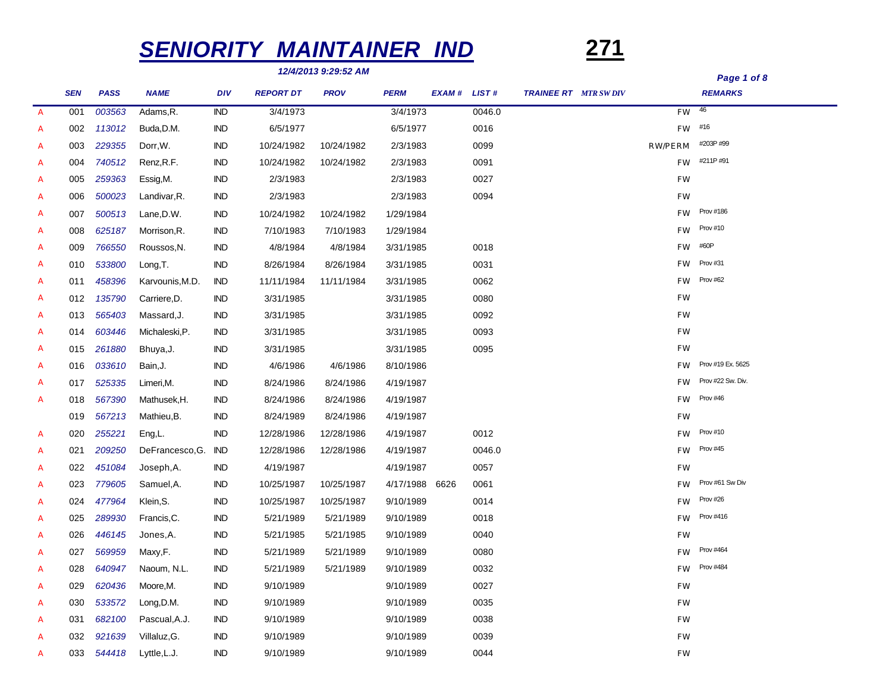# *SENIORITY MAINTAINER IND* **271**

*12/4/2013 9:29:52 AM*

# *Page 1 of 8*

|                  | <b>SEN</b> | <b>PASS</b> | <b>NAME</b>     | <b>DIV</b> | <b>REPORT DT</b> | <b>PROV</b> | <b>PERM</b> | EXAM# LIST# |        | <b>TRAINEE RT</b> MTR SW DIV |                | <b>REMARKS</b>    |
|------------------|------------|-------------|-----------------|------------|------------------|-------------|-------------|-------------|--------|------------------------------|----------------|-------------------|
| $\overline{A}$   | 001        | 003563      | Adams, R.       | <b>IND</b> | 3/4/1973         |             | 3/4/1973    |             | 0046.0 |                              | $FW$ $46$      |                   |
| $\boldsymbol{A}$ | 002        | 113012      | Buda, D.M.      | <b>IND</b> | 6/5/1977         |             | 6/5/1977    |             | 0016   |                              | $FW$ #16       |                   |
| A                | 003        | 229355      | Dorr, W.        | <b>IND</b> | 10/24/1982       | 10/24/1982  | 2/3/1983    |             | 0099   |                              | <b>RW/PERM</b> | #203P #99         |
| $\boldsymbol{A}$ | 004        | 740512      | Renz, R.F.      | IND        | 10/24/1982       | 10/24/1982  | 2/3/1983    |             | 0091   |                              | <b>FW</b>      | #211P #91         |
| A                | 005        | 259363      | Essig, M.       | IND        | 2/3/1983         |             | 2/3/1983    |             | 0027   |                              | <b>FW</b>      |                   |
| $\boldsymbol{A}$ | 006        | 500023      | Landivar, R.    | IND        | 2/3/1983         |             | 2/3/1983    |             | 0094   |                              | <b>FW</b>      |                   |
| A                | 007        | 500513      | Lane, D.W.      | <b>IND</b> | 10/24/1982       | 10/24/1982  | 1/29/1984   |             |        |                              | <b>FW</b>      | <b>Prov #186</b>  |
| $\boldsymbol{A}$ | 008        | 625187      | Morrison, R.    | <b>IND</b> | 7/10/1983        | 7/10/1983   | 1/29/1984   |             |        |                              | <b>FW</b>      | Prov #10          |
| A                | 009        | 766550      | Roussos, N.     | IND        | 4/8/1984         | 4/8/1984    | 3/31/1985   |             | 0018   |                              | <b>FW</b>      | #60P              |
| A                | 010        | 533800      | Long, T.        | IND        | 8/26/1984        | 8/26/1984   | 3/31/1985   |             | 0031   |                              | <b>FW</b>      | Prov #31          |
| A                | 011        | 458396      | Karvounis, M.D. | IND        | 11/11/1984       | 11/11/1984  | 3/31/1985   |             | 0062   |                              | <b>FW</b>      | Prov #62          |
| A                | 012        | 135790      | Carriere, D.    | <b>IND</b> | 3/31/1985        |             | 3/31/1985   |             | 0080   |                              | <b>FW</b>      |                   |
| A                | 013        | 565403      | Massard, J.     | IND        | 3/31/1985        |             | 3/31/1985   |             | 0092   |                              | FW             |                   |
| A                | 014        | 603446      | Michaleski, P.  | IND        | 3/31/1985        |             | 3/31/1985   |             | 0093   |                              | <b>FW</b>      |                   |
| A                | 015        | 261880      | Bhuya, J.       | IND        | 3/31/1985        |             | 3/31/1985   |             | 0095   |                              | FW             |                   |
| A                | 016        | 033610      | Bain, J.        | IND        | 4/6/1986         | 4/6/1986    | 8/10/1986   |             |        |                              | <b>FW</b>      | Prov #19 Ex. 5625 |
| A                | 017        | 525335      | Limeri, M.      | IND        | 8/24/1986        | 8/24/1986   | 4/19/1987   |             |        |                              | <b>FW</b>      | Prov #22 Sw. Div. |
| A                | 018        | 567390      | Mathusek, H.    | <b>IND</b> | 8/24/1986        | 8/24/1986   | 4/19/1987   |             |        |                              | <b>FW</b>      | Prov #46          |
|                  | 019        | 567213      | Mathieu, B.     | <b>IND</b> | 8/24/1989        | 8/24/1986   | 4/19/1987   |             |        |                              | FW             |                   |
| A                | 020        | 255221      | Eng,L.          | <b>IND</b> | 12/28/1986       | 12/28/1986  | 4/19/1987   |             | 0012   |                              | <b>FW</b>      | Prov #10          |
| A                | 021        | 209250      | DeFrancesco, G. | <b>IND</b> | 12/28/1986       | 12/28/1986  | 4/19/1987   |             | 0046.0 |                              | <b>FW</b>      | <b>Prov #45</b>   |
| A                | 022        | 451084      | Joseph, A.      | IND        | 4/19/1987        |             | 4/19/1987   |             | 0057   |                              | FW             |                   |
| A                | 023        | 779605      | Samuel, A.      | IND        | 10/25/1987       | 10/25/1987  | 4/17/1988   | 6626        | 0061   |                              | <b>FW</b>      | Prov #61 Sw Div   |
| A                | 024        | 477964      | Klein, S.       | <b>IND</b> | 10/25/1987       | 10/25/1987  | 9/10/1989   |             | 0014   |                              | <b>FW</b>      | Prov #26          |
| $\boldsymbol{A}$ | 025        | 289930      | Francis, C.     | IND        | 5/21/1989        | 5/21/1989   | 9/10/1989   |             | 0018   |                              | <b>FW</b>      | Prov #416         |
| $\overline{A}$   | 026        | 446145      | Jones, A.       | IND        | 5/21/1985        | 5/21/1985   | 9/10/1989   |             | 0040   |                              | FW             |                   |
| $\boldsymbol{A}$ | 027        | 569959      | Maxy,F.         | IND        | 5/21/1989        | 5/21/1989   | 9/10/1989   |             | 0080   |                              | <b>FW</b>      | <b>Prov #464</b>  |
| $\boldsymbol{A}$ | 028        | 640947      | Naoum, N.L.     | IND        | 5/21/1989        | 5/21/1989   | 9/10/1989   |             | 0032   |                              | <b>FW</b>      | Prov #484         |
| A                | 029        | 620436      | Moore,M.        | IND        | 9/10/1989        |             | 9/10/1989   |             | 0027   |                              | FW             |                   |
| A                | 030        | 533572      | Long, D.M.      | IND        | 9/10/1989        |             | 9/10/1989   |             | 0035   |                              | FW             |                   |
| A                | 031        | 682100      | Pascual, A.J.   | IND        | 9/10/1989        |             | 9/10/1989   |             | 0038   |                              | FW             |                   |
| A                | 032        | 921639      | Villaluz, G.    | <b>IND</b> | 9/10/1989        |             | 9/10/1989   |             | 0039   |                              | FW             |                   |
| A                | 033        | 544418      | Lyttle, L.J.    | IND        | 9/10/1989        |             | 9/10/1989   |             | 0044   |                              | FW             |                   |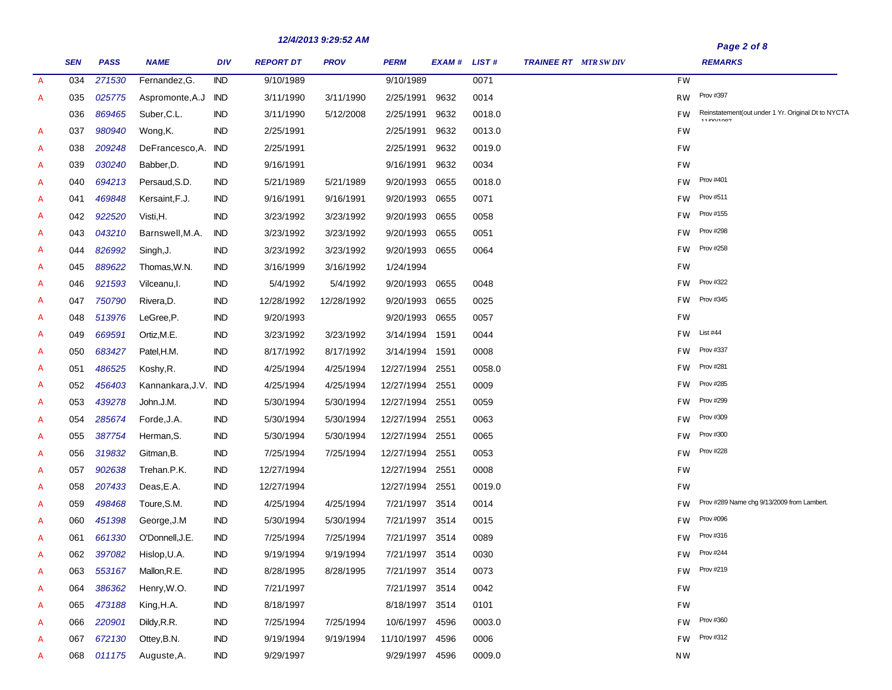|               |            |             |                        |            |                  |             |                 |             |        |                              |           | , ugu 4 v, v                                                     |
|---------------|------------|-------------|------------------------|------------|------------------|-------------|-----------------|-------------|--------|------------------------------|-----------|------------------------------------------------------------------|
|               | <b>SEN</b> | <b>PASS</b> | <b>NAME</b>            | <b>DIV</b> | <b>REPORT DT</b> | <b>PROV</b> | <b>PERM</b>     | EXAM# LIST# |        | <b>TRAINEE RT</b> MTR SW DIV |           | <b>REMARKS</b>                                                   |
| $\mathcal{A}$ | 034        | 271530      | Fernandez, G.          | <b>IND</b> | 9/10/1989        |             | 9/10/1989       |             | 0071   |                              | FW        |                                                                  |
| $\mathcal{A}$ | 035        | 025775      | Aspromonte, A.J        | IND        | 3/11/1990        | 3/11/1990   | 2/25/1991       | 9632        | 0014   |                              | <b>RW</b> | Prov #397                                                        |
|               | 036        | 869465      | Suber, C.L.            | <b>IND</b> | 3/11/1990        | 5/12/2008   | 2/25/1991       | 9632        | 0018.0 |                              | <b>FW</b> | Reinstatement (out under 1 Yr. Original Dt to NYCTA<br>110011007 |
| $\mathcal{A}$ | 037        | 980940      | Wong, K.               | <b>IND</b> | 2/25/1991        |             | 2/25/1991       | 9632        | 0013.0 |                              | FW        |                                                                  |
| $\mathcal{A}$ | 038        | 209248      | DeFrancesco, A.        | IND        | 2/25/1991        |             | 2/25/1991       | 9632        | 0019.0 |                              | FW        |                                                                  |
| A             | 039        | 030240      | Babber, D.             | IND        | 9/16/1991        |             | 9/16/1991       | 9632        | 0034   |                              | FW        |                                                                  |
| $\mathcal{A}$ | 040        | 694213      | Persaud, S.D.          | <b>IND</b> | 5/21/1989        | 5/21/1989   | 9/20/1993       | 0655        | 0018.0 |                              | <b>FW</b> | Prov #401                                                        |
| A             | 041        | 469848      | Kersaint, F.J.         | <b>IND</b> | 9/16/1991        | 9/16/1991   | 9/20/1993       | 0655        | 0071   |                              | <b>FW</b> | Prov #511                                                        |
| $\mathcal{A}$ | 042        | 922520      | Visti, H.              | IND        | 3/23/1992        | 3/23/1992   | 9/20/1993       | 0655        | 0058   |                              | <b>FW</b> | Prov #155                                                        |
| A             | 043        | 043210      | Barnswell, M.A.        | <b>IND</b> | 3/23/1992        | 3/23/1992   | 9/20/1993       | 0655        | 0051   |                              | <b>FW</b> | <b>Prov #298</b>                                                 |
| A             | 044        | 826992      | Singh, J.              | IND        | 3/23/1992        | 3/23/1992   | 9/20/1993       | 0655        | 0064   |                              | <b>FW</b> | <b>Prov #258</b>                                                 |
| A             | 045        | 889622      | Thomas, W.N.           | <b>IND</b> | 3/16/1999        | 3/16/1992   | 1/24/1994       |             |        |                              | FW        |                                                                  |
| A             | 046        | 921593      | Vilceanu.l.            | <b>IND</b> | 5/4/1992         | 5/4/1992    | 9/20/1993       | 0655        | 0048   |                              | FW        | <b>Prov #322</b>                                                 |
| A             | 047        | 750790      | Rivera, D.             | <b>IND</b> | 12/28/1992       | 12/28/1992  | 9/20/1993       | 0655        | 0025   |                              | <b>FW</b> | Prov #345                                                        |
| A             | 048        | 513976      | LeGree.P.              | <b>IND</b> | 9/20/1993        |             | 9/20/1993       | 0655        | 0057   |                              | FW        |                                                                  |
| A             | 049        | 669591      | Ortiz, M.E.            | IND        | 3/23/1992        | 3/23/1992   | 3/14/1994       | 1591        | 0044   |                              | FW        | List #44                                                         |
| A             | 050        | 683427      | Patel,H.M.             | <b>IND</b> | 8/17/1992        | 8/17/1992   | 3/14/1994       | 1591        | 0008   |                              | FW        | Prov #337                                                        |
| A             | 051        | 486525      | Koshy, R.              | IND        | 4/25/1994        | 4/25/1994   | 12/27/1994      | 2551        | 0058.0 |                              | <b>FW</b> | <b>Prov #281</b>                                                 |
| A             | 052        | 456403      | Kannankara, J.V. IND   |            | 4/25/1994        | 4/25/1994   | 12/27/1994      | 2551        | 0009   |                              | <b>FW</b> | <b>Prov #285</b>                                                 |
| A             | 053        | 439278      | John.J.M.              | IND        | 5/30/1994        | 5/30/1994   | 12/27/1994      | 2551        | 0059   |                              | <b>FW</b> | <b>Prov #299</b>                                                 |
| A             | 054        | 285674      | Forde, J.A.            | <b>IND</b> | 5/30/1994        | 5/30/1994   | 12/27/1994      | 2551        | 0063   |                              | <b>FW</b> | Prov #309                                                        |
| A             | 055        | 387754      | Herman, S.             | <b>IND</b> | 5/30/1994        | 5/30/1994   | 12/27/1994      | 2551        | 0065   |                              | <b>FW</b> | <b>Prov #300</b>                                                 |
| A             | 056        | 319832      | Gitman, B.             | <b>IND</b> | 7/25/1994        | 7/25/1994   | 12/27/1994      | 2551        | 0053   |                              | <b>FW</b> | <b>Prov #228</b>                                                 |
| A             | 057        | 902638      | Trehan.P.K.            | IND        | 12/27/1994       |             | 12/27/1994      | 2551        | 0008   |                              | FW        |                                                                  |
| A             | 058        | 207433      | Deas, E.A.             | <b>IND</b> | 12/27/1994       |             | 12/27/1994      | 2551        | 0019.0 |                              | <b>FW</b> |                                                                  |
| A             | 059        | 498468      | Toure, S.M.            | <b>IND</b> | 4/25/1994        | 4/25/1994   | 7/21/1997 3514  |             | 0014   |                              | <b>FW</b> | Prov #289 Name chg 9/13/2009 from Lambert.                       |
| A             | 060        | 451398      | George, J.M            | <b>IND</b> | 5/30/1994        | 5/30/1994   | 7/21/1997       | 3514        | 0015   |                              | <b>FW</b> | <b>Prov #096</b>                                                 |
| $\mathcal{A}$ | 061        | 661330      | O'Donnell, J.E.        | <b>IND</b> | 7/25/1994        | 7/25/1994   | 7/21/1997 3514  |             | 0089   |                              | <b>FW</b> | Prov #316                                                        |
| A             | 062        |             | 397082 Hislop, U.A.    | IND        | 9/19/1994        | 9/19/1994   | 7/21/1997 3514  |             | 0030   |                              |           | $FW$ Prov #244                                                   |
| A             | 063        | 553167      | Mallon, R.E.           | IND        | 8/28/1995        | 8/28/1995   | 7/21/1997 3514  |             | 0073   |                              |           | $FW$ Prov #219                                                   |
| A             | 064        | 386362      | Henry, W.O.            | IND.       | 7/21/1997        |             | 7/21/1997 3514  |             | 0042   |                              | $FW$      |                                                                  |
| A             | 065        | 473188      | King, H.A.             | IND        | 8/18/1997        |             | 8/18/1997 3514  |             | 0101   |                              | $FW$      |                                                                  |
| A             | 066        | 220901      | Dildy, R.R.            | IND        | 7/25/1994        | 7/25/1994   | 10/6/1997 4596  |             | 0003.0 |                              | <b>FW</b> | Prov #360                                                        |
| A             | 067        | 672130      | Ottey, B.N.            | IND        | 9/19/1994        | 9/19/1994   | 11/10/1997 4596 |             | 0006   |                              | FW.       | Prov #312                                                        |
| A             |            |             | 068 011175 Auguste, A. | <b>IND</b> | 9/29/1997        |             | 9/29/1997 4596  |             | 0009.0 |                              | NW        |                                                                  |

*Page 2 of 8*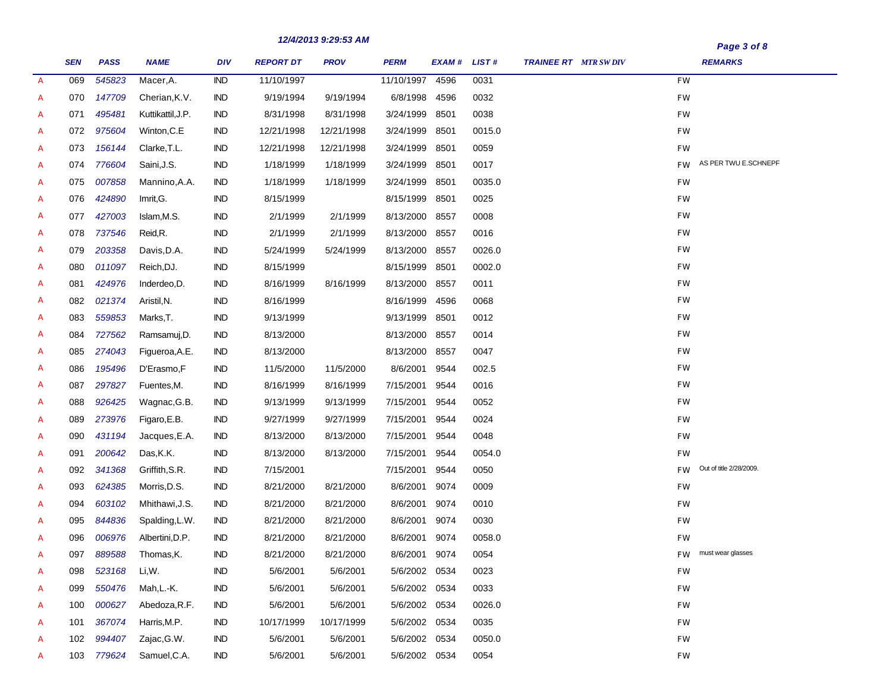|               | <b>SEN</b> | <b>PASS</b> | <b>NAME</b>       | <b>DIV</b> | <b>REPORT DT</b> | 12/4/2013 9.29.33 AM<br><b>PROV</b> | <b>PERM</b>   | EXAM# LIST# |        | <b>TRAINEE RT</b> MTR SW DIV | Page 3 of 8<br><b>REMARKS</b>        |
|---------------|------------|-------------|-------------------|------------|------------------|-------------------------------------|---------------|-------------|--------|------------------------------|--------------------------------------|
| $\mathcal{A}$ | 069        | 545823      | Macer, A.         | <b>IND</b> | 11/10/1997       |                                     | 11/10/1997    | 4596        | 0031   |                              | <b>FW</b>                            |
| A             | 070        | 147709      | Cherian, K.V.     | <b>IND</b> | 9/19/1994        | 9/19/1994                           | 6/8/1998      | 4596        | 0032   |                              | FW                                   |
| A             | 071        | 495481      | Kuttikattil, J.P. | <b>IND</b> | 8/31/1998        | 8/31/1998                           | 3/24/1999     | 8501        | 0038   |                              | <b>FW</b>                            |
| A             | 072        | 975604      | Winton, C.E       | <b>IND</b> | 12/21/1998       | 12/21/1998                          | 3/24/1999     | 8501        | 0015.0 |                              | <b>FW</b>                            |
| A             | 073        | 156144      | Clarke, T.L.      | <b>IND</b> | 12/21/1998       | 12/21/1998                          | 3/24/1999     | 8501        | 0059   |                              | <b>FW</b>                            |
| A             | 074        | 776604      | Saini, J.S.       | <b>IND</b> | 1/18/1999        | 1/18/1999                           | 3/24/1999     | 8501        | 0017   |                              | AS PER TWU E.SCHNEPF<br><b>FW</b>    |
| A             | 075        | 007858      | Mannino, A.A.     | <b>IND</b> | 1/18/1999        | 1/18/1999                           | 3/24/1999     | 8501        | 0035.0 |                              | <b>FW</b>                            |
| A             | 076        | 424890      | Imrit, G.         | <b>IND</b> | 8/15/1999        |                                     | 8/15/1999     | 8501        | 0025   |                              | FW                                   |
| A             | 077        | 427003      | Islam, M.S.       | <b>IND</b> | 2/1/1999         | 2/1/1999                            | 8/13/2000     | 8557        | 0008   |                              | FW                                   |
| A             | 078        | 737546      | Reid, R.          | <b>IND</b> | 2/1/1999         | 2/1/1999                            | 8/13/2000     | 8557        | 0016   |                              | FW                                   |
| A             | 079        | 203358      | Davis, D.A.       | IND        | 5/24/1999        | 5/24/1999                           | 8/13/2000     | 8557        | 0026.0 |                              | FW                                   |
| A             | 080        | 011097      | Reich, DJ.        | <b>IND</b> | 8/15/1999        |                                     | 8/15/1999     | 8501        | 0002.0 |                              | FW                                   |
| A             | 081        | 424976      | Inderdeo, D.      | <b>IND</b> | 8/16/1999        | 8/16/1999                           | 8/13/2000     | 8557        | 0011   |                              | FW                                   |
| A             | 082        | 021374      | Aristil, N.       | <b>IND</b> | 8/16/1999        |                                     | 8/16/1999     | 4596        | 0068   |                              | FW                                   |
| A             | 083        | 559853      | Marks,T.          | IND        | 9/13/1999        |                                     | 9/13/1999     | 8501        | 0012   |                              | FW                                   |
| A             | 084        | 727562      | Ramsamuj, D.      | IND        | 8/13/2000        |                                     | 8/13/2000     | 8557        | 0014   |                              | FW                                   |
| A             | 085        | 274043      | Figueroa, A.E.    | <b>IND</b> | 8/13/2000        |                                     | 8/13/2000     | 8557        | 0047   |                              | FW                                   |
| A             | 086        | 195496      | D'Erasmo,F        | <b>IND</b> | 11/5/2000        | 11/5/2000                           | 8/6/2001      | 9544        | 002.5  |                              | FW                                   |
| A             | 087        | 297827      | Fuentes, M.       | IND        | 8/16/1999        | 8/16/1999                           | 7/15/2001     | 9544        | 0016   |                              | FW                                   |
| A             | 088        | 926425      | Wagnac, G.B.      | IND        | 9/13/1999        | 9/13/1999                           | 7/15/2001     | 9544        | 0052   |                              | FW                                   |
| A             | 089        | 273976      | Figaro, E.B.      | <b>IND</b> | 9/27/1999        | 9/27/1999                           | 7/15/2001     | 9544        | 0024   |                              | FW                                   |
| A             | 090        | 431194      | Jacques, E.A.     | <b>IND</b> | 8/13/2000        | 8/13/2000                           | 7/15/2001     | 9544        | 0048   |                              | FW                                   |
| A             | 091        | 200642      | Das, K.K.         | <b>IND</b> | 8/13/2000        | 8/13/2000                           | 7/15/2001     | 9544        | 0054.0 |                              | FW                                   |
| A             | 092        | 341368      | Griffith, S.R.    | IND        | 7/15/2001        |                                     | 7/15/2001     | 9544        | 0050   |                              | Out of title 2/28/2009.<br><b>FW</b> |
| A             | 093        | 624385      | Morris, D.S.      | IND        | 8/21/2000        | 8/21/2000                           | 8/6/2001      | 9074        | 0009   |                              | FW                                   |
| A             | 094        | 603102      | Mhithawi, J.S.    | IND        | 8/21/2000        | 8/21/2000                           | 8/6/2001      | 9074        | 0010   |                              | FW                                   |
| А             | 095        | 844836      | Spalding, L.W.    | IND        | 8/21/2000        | 8/21/2000                           | 8/6/2001      | 9074        | 0030   |                              | FW                                   |
| A             | 096        | 006976      | Albertini, D.P.   | <b>IND</b> | 8/21/2000        | 8/21/2000                           | 8/6/2001      | 9074        | 0058.0 |                              | FW                                   |
| A             | 097        | 889588      | Thomas, K.        | <b>IND</b> | 8/21/2000        | 8/21/2000                           | 8/6/2001      | 9074        | 0054   |                              | must wear glasses<br>FW.             |
| A             | 098        | 523168      | Li,W.             | <b>IND</b> | 5/6/2001         | 5/6/2001                            | 5/6/2002 0534 |             | 0023   |                              | FW                                   |
| A             | 099        | 550476      | Mah,L.-K.         | <b>IND</b> | 5/6/2001         | 5/6/2001                            | 5/6/2002 0534 |             | 0033   |                              | FW                                   |
| A             | 100        | 000627      | Abedoza, R.F.     | IND        | 5/6/2001         | 5/6/2001                            | 5/6/2002 0534 |             | 0026.0 |                              | FW                                   |
| A             | 101        | 367074      | Harris, M.P.      | Ind        | 10/17/1999       | 10/17/1999                          | 5/6/2002 0534 |             | 0035   |                              | FW                                   |
| A             | 102        | 994407      | Zajac, G.W.       | Ind        | 5/6/2001         | 5/6/2001                            | 5/6/2002 0534 |             | 0050.0 |                              | FW                                   |
| A             |            | 103 779624  | Samuel, C.A.      | <b>IND</b> | 5/6/2001         | 5/6/2001                            | 5/6/2002 0534 |             | 0054   |                              | <b>FW</b>                            |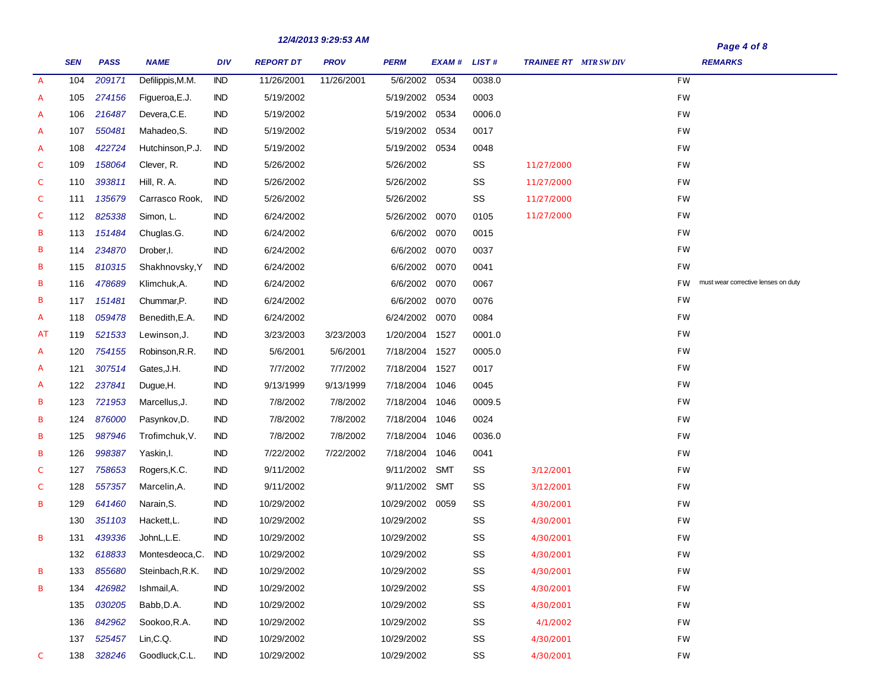|               |            |             |                  |            |                  | 12/4/2013 9.29.33 AM |                 |             |        |                              | Page 4 of 8                                      |
|---------------|------------|-------------|------------------|------------|------------------|----------------------|-----------------|-------------|--------|------------------------------|--------------------------------------------------|
|               | <b>SEN</b> | <b>PASS</b> | <b>NAME</b>      | DIV        | <b>REPORT DT</b> | <b>PROV</b>          | <b>PERM</b>     | EXAM# LIST# |        | <b>TRAINEE RT</b> MTR SW DIV | <b>REMARKS</b>                                   |
| $\mathcal{A}$ | 104        | 209171      | Defilippis, M.M. | <b>IND</b> | 11/26/2001       | 11/26/2001           | 5/6/2002 0534   |             | 0038.0 |                              | FW                                               |
| A             | 105        | 274156      | Figueroa, E.J.   | <b>IND</b> | 5/19/2002        |                      | 5/19/2002 0534  |             | 0003   |                              | FW                                               |
| A             | 106        | 216487      | Devera, C.E.     | <b>IND</b> | 5/19/2002        |                      | 5/19/2002 0534  |             | 0006.0 |                              | FW                                               |
| A             | 107        | 550481      | Mahadeo, S.      | <b>IND</b> | 5/19/2002        |                      | 5/19/2002 0534  |             | 0017   |                              | FW                                               |
| A             | 108        | 422724      | Hutchinson, P.J. | <b>IND</b> | 5/19/2002        |                      | 5/19/2002 0534  |             | 0048   |                              | FW                                               |
| C             | 109        | 158064      | Clever, R.       | <b>IND</b> | 5/26/2002        |                      | 5/26/2002       |             | SS     | 11/27/2000                   | FW                                               |
| C             | 110        | 393811      | Hill, R. A.      | <b>IND</b> | 5/26/2002        |                      | 5/26/2002       |             | SS     | 11/27/2000                   | FW                                               |
| C             | 111        | 135679      | Carrasco Rook,   | <b>IND</b> | 5/26/2002        |                      | 5/26/2002       |             | SS     | 11/27/2000                   | FW                                               |
| C             | 112        | 825338      | Simon, L.        | <b>IND</b> | 6/24/2002        |                      | 5/26/2002 0070  |             | 0105   | 11/27/2000                   | FW                                               |
| В             | 113        | 151484      | Chuglas.G.       | <b>IND</b> | 6/24/2002        |                      | 6/6/2002 0070   |             | 0015   |                              | FW                                               |
| В             | 114        | 234870      | Drober, I.       | <b>IND</b> | 6/24/2002        |                      | 6/6/2002 0070   |             | 0037   |                              | FW                                               |
| В             | 115        | 810315      | Shakhnovsky, Y   | <b>IND</b> | 6/24/2002        |                      | 6/6/2002 0070   |             | 0041   |                              | FW                                               |
| В             | 116        | 478689      | Klimchuk, A.     | <b>IND</b> | 6/24/2002        |                      | 6/6/2002 0070   |             | 0067   |                              | must wear corrective lenses on duty<br><b>FW</b> |
| В             | 117        | 151481      | Chummar, P.      | <b>IND</b> | 6/24/2002        |                      | 6/6/2002 0070   |             | 0076   |                              | FW                                               |
| A             | 118        | 059478      | Benedith, E.A.   | <b>IND</b> | 6/24/2002        |                      | 6/24/2002 0070  |             | 0084   |                              | FW                                               |
| АT            | 119        | 521533      | Lewinson, J.     | <b>IND</b> | 3/23/2003        | 3/23/2003            | 1/20/2004 1527  |             | 0001.0 |                              | FW                                               |
| A             | 120        | 754155      | Robinson, R.R.   | <b>IND</b> | 5/6/2001         | 5/6/2001             | 7/18/2004 1527  |             | 0005.0 |                              | FW                                               |
| A             | 121        | 307514      | Gates, J.H.      | <b>IND</b> | 7/7/2002         | 7/7/2002             | 7/18/2004 1527  |             | 0017   |                              | FW                                               |
| A             | 122        | 237841      | Dugue, H.        | <b>IND</b> | 9/13/1999        | 9/13/1999            | 7/18/2004 1046  |             | 0045   |                              | FW                                               |
| В             | 123        | 721953      | Marcellus, J.    | <b>IND</b> | 7/8/2002         | 7/8/2002             | 7/18/2004 1046  |             | 0009.5 |                              | FW                                               |
| В             | 124        | 876000      | Pasynkov,D.      | <b>IND</b> | 7/8/2002         | 7/8/2002             | 7/18/2004 1046  |             | 0024   |                              | FW                                               |
| В             | 125        | 987946      | Trofimchuk, V.   | <b>IND</b> | 7/8/2002         | 7/8/2002             | 7/18/2004 1046  |             | 0036.0 |                              | FW                                               |
| В             | 126        | 998387      | Yaskin, I.       | <b>IND</b> | 7/22/2002        | 7/22/2002            | 7/18/2004 1046  |             | 0041   |                              | FW                                               |
| C             | 127        | 758653      | Rogers, K.C.     | <b>IND</b> | 9/11/2002        |                      | 9/11/2002 SMT   |             | SS     | 3/12/2001                    | FW                                               |
| C             | 128        | 557357      | Marcelin, A.     | <b>IND</b> | 9/11/2002        |                      | 9/11/2002 SMT   |             | SS     | 3/12/2001                    | FW                                               |
| В             | 129        | 641460      | Narain, S.       | <b>IND</b> | 10/29/2002       |                      | 10/29/2002 0059 |             | SS     | 4/30/2001                    | FW                                               |
|               | 130        | 351103      | Hackett, L.      | <b>IND</b> | 10/29/2002       |                      | 10/29/2002      |             | SS     | 4/30/2001                    | FW                                               |
| В             | 131        | 439336      | JohnL,L.E.       | IND        | 10/29/2002       |                      | 10/29/2002      |             | SS     | 4/30/2001                    | FW                                               |
|               | 132        | 618833      | Montesdeoca, C.  | IND        | 10/29/2002       |                      | 10/29/2002      |             | SS     | 4/30/2001                    | FW                                               |
| В             | 133        | 855680      | Steinbach, R.K.  | <b>IND</b> | 10/29/2002       |                      | 10/29/2002      |             | SS     | 4/30/2001                    | FW                                               |
| В             | 134        | 426982      | Ishmail,A.       | <b>IND</b> | 10/29/2002       |                      | 10/29/2002      |             | SS     | 4/30/2001                    | FW                                               |
|               | 135        | 030205      | Babb, D.A.       | <b>IND</b> | 10/29/2002       |                      | 10/29/2002      |             | SS     | 4/30/2001                    | FW                                               |
|               | 136        | 842962      | Sookoo, R.A.     | IND.       | 10/29/2002       |                      | 10/29/2002      |             | SS     | 4/1/2002                     | FW                                               |
|               | 137        | 525457      | Lin,C.Q.         | <b>IND</b> | 10/29/2002       |                      | 10/29/2002      |             | SS     | 4/30/2001                    | FW                                               |
| C             | 138        | 328246      | Goodluck, C.L.   | IND        | 10/29/2002       |                      | 10/29/2002      |             | SS     | 4/30/2001                    | $\mathit{FW}$                                    |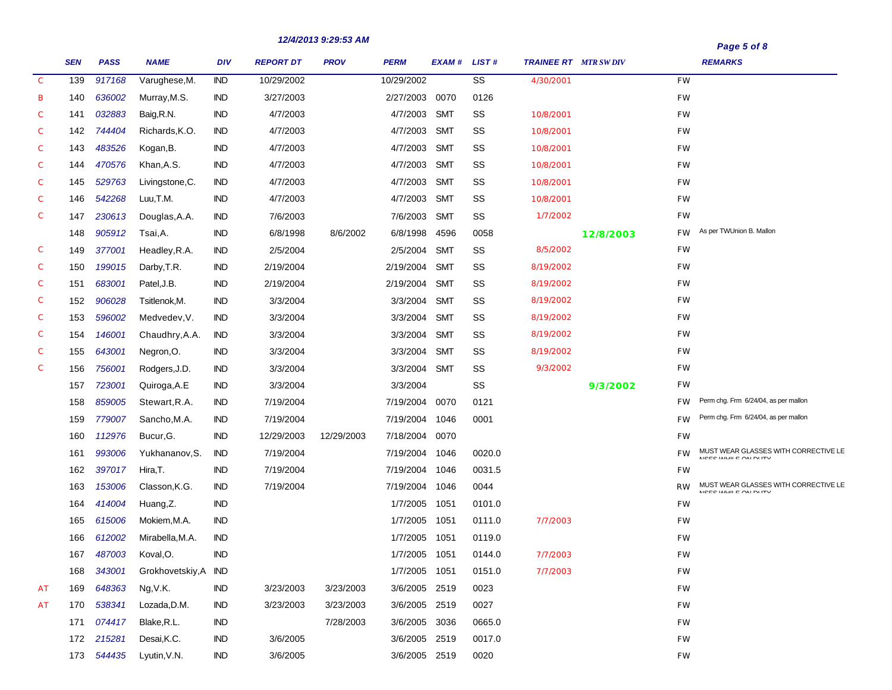|               |            |             |                         |            |                  | 12/4/2013 9:29:53 AM |                |             |        |                             |           |               | Page 5 of 8                                               |
|---------------|------------|-------------|-------------------------|------------|------------------|----------------------|----------------|-------------|--------|-----------------------------|-----------|---------------|-----------------------------------------------------------|
|               | <b>SEN</b> | <b>PASS</b> | <b>NAME</b>             | <b>DIV</b> | <b>REPORT DT</b> | <b>PROV</b>          | <b>PERM</b>    | EXAM# LIST# |        | <b>TRAINEE RT MTR SWDIV</b> |           |               | <b>REMARKS</b>                                            |
| $\mathcal{C}$ | 139        | 917168      | Varughese, M.           | <b>IND</b> | 10/29/2002       |                      | 10/29/2002     |             | SS     | 4/30/2001                   |           | <b>FW</b>     |                                                           |
| в             | 140        | 636002      | Murray, M.S.            | IND        | 3/27/2003        |                      | 2/27/2003 0070 |             | 0126   |                             |           | <b>FW</b>     |                                                           |
| C             | 141        | 032883      | Baig, R.N.              | IND        | 4/7/2003         |                      | 4/7/2003       | SMT         | SS     | 10/8/2001                   |           | <b>FW</b>     |                                                           |
| C             | 142        | 744404      | Richards, K.O.          | <b>IND</b> | 4/7/2003         |                      | 4/7/2003       | <b>SMT</b>  | SS     | 10/8/2001                   |           | <b>FW</b>     |                                                           |
| С             | 143        | 483526      | Kogan, B.               | <b>IND</b> | 4/7/2003         |                      | 4/7/2003       | <b>SMT</b>  | SS     | 10/8/2001                   |           | <b>FW</b>     |                                                           |
| C             | 144        | 470576      | Khan, A.S.              | <b>IND</b> | 4/7/2003         |                      | 4/7/2003       | <b>SMT</b>  | SS     | 10/8/2001                   |           | FW            |                                                           |
| С             | 145        | 529763      | Livingstone, C.         | <b>IND</b> | 4/7/2003         |                      | 4/7/2003       | <b>SMT</b>  | SS     | 10/8/2001                   |           | FW            |                                                           |
| C             | 146        | 542268      | Luu, T.M.               | <b>IND</b> | 4/7/2003         |                      | 4/7/2003       | <b>SMT</b>  | SS     | 10/8/2001                   |           | FW            |                                                           |
| С             | 147        | 230613      | Douglas, A.A.           | IND        | 7/6/2003         |                      | 7/6/2003       | SMT         | SS     | 1/7/2002                    |           | <b>FW</b>     |                                                           |
|               | 148        | 905912      | Tsai,A.                 | IND        | 6/8/1998         | 8/6/2002             | 6/8/1998       | 4596        | 0058   |                             | 12/8/2003 | FW.           | As per TWUnion B. Mallon                                  |
| С             | 149        | 377001      | Headley, R.A.           | <b>IND</b> | 2/5/2004         |                      | 2/5/2004       | <b>SMT</b>  | SS     | 8/5/2002                    |           | <b>FW</b>     |                                                           |
| С             | 150        | 199015      | Darby, T.R.             | <b>IND</b> | 2/19/2004        |                      | 2/19/2004      | <b>SMT</b>  | SS     | 8/19/2002                   |           | <b>FW</b>     |                                                           |
| С             | 151        | 683001      | Patel, J.B.             | <b>IND</b> | 2/19/2004        |                      | 2/19/2004      | <b>SMT</b>  | SS     | 8/19/2002                   |           | <b>FW</b>     |                                                           |
| С             | 152        | 906028      | Tsitlenok,M.            | <b>IND</b> | 3/3/2004         |                      | 3/3/2004       | <b>SMT</b>  | SS     | 8/19/2002                   |           | FW            |                                                           |
| С             | 153        | 596002      | Medvedev, V.            | IND        | 3/3/2004         |                      | 3/3/2004       | <b>SMT</b>  | SS     | 8/19/2002                   |           | <b>FW</b>     |                                                           |
| С             | 154        | 146001      | Chaudhry, A.A.          | <b>IND</b> | 3/3/2004         |                      | 3/3/2004       | <b>SMT</b>  | SS     | 8/19/2002                   |           | <b>FW</b>     |                                                           |
| С             | 155        | 643001      | Negron, O.              | <b>IND</b> | 3/3/2004         |                      | 3/3/2004       | <b>SMT</b>  | SS     | 8/19/2002                   |           | <b>FW</b>     |                                                           |
| С             | 156        | 756001      | Rodgers, J.D.           | <b>IND</b> | 3/3/2004         |                      | 3/3/2004       | SMT         | SS     | 9/3/2002                    |           | FW            |                                                           |
|               | 157        | 723001      | Quiroga, A.E            | IND        | 3/3/2004         |                      | 3/3/2004       |             | SS     |                             | 9/3/2002  | FW            |                                                           |
|               | 158        | 859005      | Stewart, R.A.           | <b>IND</b> | 7/19/2004        |                      | 7/19/2004      | 0070        | 0121   |                             |           | <b>FW</b>     | Perm chg. Frm 6/24/04, as per mallon                      |
|               | 159        | 779007      | Sancho, M.A.            | <b>IND</b> | 7/19/2004        |                      | 7/19/2004      | 1046        | 0001   |                             |           | <b>FW</b>     | Perm chg. Frm 6/24/04, as per mallon                      |
|               | 160        | 112976      | Bucur, G.               | IND        | 12/29/2003       | 12/29/2003           | 7/18/2004      | 0070        |        |                             |           | <b>FW</b>     |                                                           |
|               | 161        | 993006      | Yukhananov, S.          | <b>IND</b> | 7/19/2004        |                      | 7/19/2004      | 1046        | 0020.0 |                             |           | <b>FW</b>     | MUST WEAR GLASSES WITH CORRECTIVE LE<br>MOROMANIE OM BURY |
|               | 162        | 397017      | Hira,T.                 | IND        | 7/19/2004        |                      | 7/19/2004      | 1046        | 0031.5 |                             |           | FW            |                                                           |
|               | 163        | 153006      | Classon, K.G.           | <b>IND</b> | 7/19/2004        |                      | 7/19/2004      | 1046        | 0044   |                             |           | <b>RW</b>     | MUST WEAR GLASSES WITH CORRECTIVE LE<br>MOROMANIE ON BUTY |
|               | 164        | 414004      | Huang,Z.                | IND        |                  |                      | 1/7/2005       | 1051        | 0101.0 |                             |           | FW            |                                                           |
|               | 165        | 615006      | Mokiem, M.A.            | <b>IND</b> |                  |                      | 1/7/2005       | 1051        | 0111.0 | 7/7/2003                    |           | FW            |                                                           |
|               | 166        | 612002      | Mirabella, M.A.         | IND        |                  |                      | 1/7/2005       | 1051        | 0119.0 |                             |           | FW            |                                                           |
|               | 167        | 487003      | Koval, O.               | <b>IND</b> |                  |                      | 1/7/2005 1051  |             | 0144.0 | 7/7/2003                    |           | FW            |                                                           |
|               | 168        | 343001      | Grokhovetskiy, A        | <b>IND</b> |                  |                      | 1/7/2005 1051  |             | 0151.0 | 7/7/2003                    |           | FW            |                                                           |
| АT            | 169        | 648363      | Ng, V.K.                | <b>IND</b> | 3/23/2003        | 3/23/2003            | 3/6/2005 2519  |             | 0023   |                             |           | FW            |                                                           |
| АT            | 170        | 538341      | Lozada, D.M.            | IND        | 3/23/2003        | 3/23/2003            | 3/6/2005 2519  |             | 0027   |                             |           | FW            |                                                           |
|               | 171        | 074417      | Blake, R.L.             | <b>IND</b> |                  | 7/28/2003            | 3/6/2005 3036  |             | 0665.0 |                             |           | FW            |                                                           |
|               | 172        | 215281      | Desai, K.C.             | <b>IND</b> | 3/6/2005         |                      | 3/6/2005 2519  |             | 0017.0 |                             |           | FW            |                                                           |
|               |            |             | 173 544435 Lyutin, V.N. | <b>IND</b> | 3/6/2005         |                      | 3/6/2005 2519  |             | 0020   |                             |           | $\mathit{FW}$ |                                                           |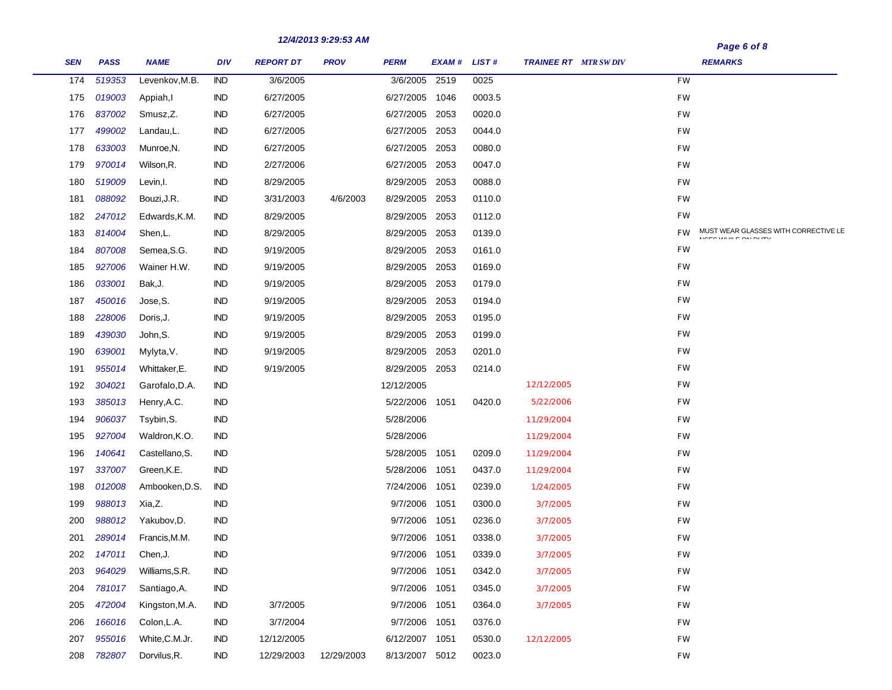|            |             |                |            |                  | 12/4/2013 9.29.33 AM |                |             |        |                              |           | Page 6 of 8                                              |  |
|------------|-------------|----------------|------------|------------------|----------------------|----------------|-------------|--------|------------------------------|-----------|----------------------------------------------------------|--|
| <b>SEN</b> | <b>PASS</b> | <b>NAME</b>    | <b>DIV</b> | <b>REPORT DT</b> | <b>PROV</b>          | <b>PERM</b>    | EXAM# LIST# |        | <b>TRAINEE RT</b> MTR SW DIV |           | <b>REMARKS</b>                                           |  |
| 174        | 519353      | Levenkov, M.B. | <b>IND</b> | 3/6/2005         |                      | 3/6/2005       | 2519        | 0025   |                              | <b>FW</b> |                                                          |  |
| 175        | 019003      | Appiah,I       | IND        | 6/27/2005        |                      | 6/27/2005      | 1046        | 0003.5 |                              | FW        |                                                          |  |
| 176        | 837002      | Smusz, Z.      | <b>IND</b> | 6/27/2005        |                      | 6/27/2005      | 2053        | 0020.0 |                              | FW        |                                                          |  |
| 177        | 499002      | Landau,L.      | <b>IND</b> | 6/27/2005        |                      | 6/27/2005      | 2053        | 0044.0 |                              | FW        |                                                          |  |
| 178        | 633003      | Munroe, N.     | <b>IND</b> | 6/27/2005        |                      | 6/27/2005      | 2053        | 0080.0 |                              | FW        |                                                          |  |
| 179        | 970014      | Wilson, R.     | <b>IND</b> | 2/27/2006        |                      | 6/27/2005      | 2053        | 0047.0 |                              | FW        |                                                          |  |
| 180        | 519009      | Levin, I.      | IND        | 8/29/2005        |                      | 8/29/2005      | 2053        | 0088.0 |                              | FW        |                                                          |  |
| 181        | 088092      | Bouzi, J.R.    | IND        | 3/31/2003        | 4/6/2003             | 8/29/2005      | 2053        | 0110.0 |                              | FW        |                                                          |  |
| 182        | 247012      | Edwards, K.M.  | IND        | 8/29/2005        |                      | 8/29/2005      | 2053        | 0112.0 |                              | <b>FW</b> |                                                          |  |
| 183        | 814004      | Shen,L.        | IND        | 8/29/2005        |                      | 8/29/2005      | 2053        | 0139.0 |                              | FW        | MUST WEAR GLASSES WITH CORRECTIVE LE<br>MOTOMARE ON DUTY |  |
| 184        | 807008      | Semea, S.G.    | <b>IND</b> | 9/19/2005        |                      | 8/29/2005      | 2053        | 0161.0 |                              | FW        |                                                          |  |
| 185        | 927006      | Wainer H.W.    | <b>IND</b> | 9/19/2005        |                      | 8/29/2005      | 2053        | 0169.0 |                              | FW        |                                                          |  |
| 186        | 033001      | Bak, J.        | <b>IND</b> | 9/19/2005        |                      | 8/29/2005      | 2053        | 0179.0 |                              | FW        |                                                          |  |
| 187        | 450016      | Jose, S.       | <b>IND</b> | 9/19/2005        |                      | 8/29/2005      | 2053        | 0194.0 |                              | FW        |                                                          |  |
| 188        | 228006      | Doris, J.      | <b>IND</b> | 9/19/2005        |                      | 8/29/2005      | 2053        | 0195.0 |                              | FW        |                                                          |  |
| 189        | 439030      | John, S.       | <b>IND</b> | 9/19/2005        |                      | 8/29/2005      | 2053        | 0199.0 |                              | FW        |                                                          |  |
| 190        | 639001      | Mylyta, V.     | IND        | 9/19/2005        |                      | 8/29/2005      | 2053        | 0201.0 |                              | FW        |                                                          |  |
| 191        | 955014      | Whittaker, E.  | IND        | 9/19/2005        |                      | 8/29/2005      | 2053        | 0214.0 |                              | FW        |                                                          |  |
| 192        | 304021      | Garofalo, D.A. | IND        |                  |                      | 12/12/2005     |             |        | 12/12/2005                   | FW        |                                                          |  |
| 193        | 385013      | Henry, A.C.    | <b>IND</b> |                  |                      | 5/22/2006      | 1051        | 0420.0 | 5/22/2006                    | FW        |                                                          |  |
| 194        | 906037      | Tsybin, S.     | <b>IND</b> |                  |                      | 5/28/2006      |             |        | 11/29/2004                   | FW        |                                                          |  |
| 195        | 927004      | Waldron, K.O.  | <b>IND</b> |                  |                      | 5/28/2006      |             |        | 11/29/2004                   | FW        |                                                          |  |
| 196        | 140641      | Castellano, S. | IND        |                  |                      | 5/28/2005      | 1051        | 0209.0 | 11/29/2004                   | FW        |                                                          |  |
| 197        | 337007      | Green, K.E.    | <b>IND</b> |                  |                      | 5/28/2006      | 1051        | 0437.0 | 11/29/2004                   | FW        |                                                          |  |
| 198        | 012008      | Ambooken, D.S. | <b>IND</b> |                  |                      | 7/24/2006      | 1051        | 0239.0 | 1/24/2005                    | FW        |                                                          |  |
| 199        | 988013      | Xia,Z.         | <b>IND</b> |                  |                      | 9/7/2006       | 1051        | 0300.0 | 3/7/2005                     | FW        |                                                          |  |
| 200        | 988012      | Yakubov, D.    | <b>IND</b> |                  |                      | 9/7/2006       | 1051        | 0236.0 | 3/7/2005                     | FW        |                                                          |  |
| 201        | 289014      | Francis, M.M.  | <b>IND</b> |                  |                      | 9/7/2006       | 1051        | 0338.0 | 3/7/2005                     | FW        |                                                          |  |
| 202        | 147011      | Chen, J.       | <b>IND</b> |                  |                      | 9/7/2006       | 1051        | 0339.0 | 3/7/2005                     | FW        |                                                          |  |
| 203        | 964029      | Williams, S.R. | <b>IND</b> |                  |                      | 9/7/2006       | 1051        | 0342.0 | 3/7/2005                     | FW        |                                                          |  |
| 204        | 781017      | Santiago, A.   | IND        |                  |                      | 9/7/2006       | 1051        | 0345.0 | 3/7/2005                     | FW        |                                                          |  |
| 205        | 472004      | Kingston, M.A. | IND        | 3/7/2005         |                      | 9/7/2006       | 1051        | 0364.0 | 3/7/2005                     | FW        |                                                          |  |
| 206        | 166016      | Colon, L.A.    | IND        | 3/7/2004         |                      | 9/7/2006       | 1051        | 0376.0 |                              | FW        |                                                          |  |
| 207        | 955016      | White, C.M.Jr. | IND        | 12/12/2005       |                      | 6/12/2007      | 1051        | 0530.0 | 12/12/2005                   | FW        |                                                          |  |
| 208        | 782807      | Dorvilus, R.   | IND        | 12/29/2003       | 12/29/2003           | 8/13/2007 5012 |             | 0023.0 |                              | $FW$      |                                                          |  |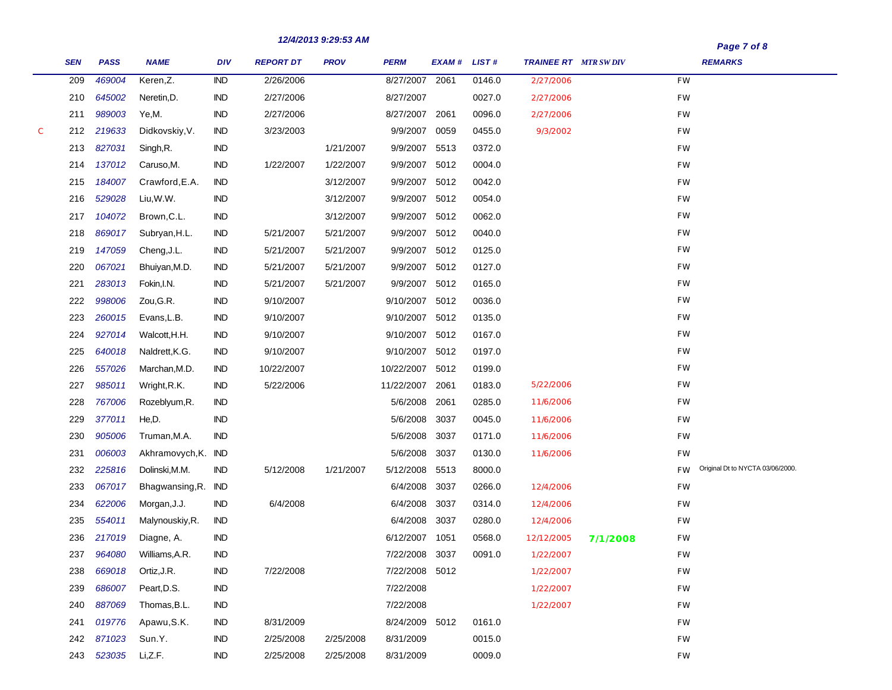|   |            |             |                     |            |                  | 12/4/2013 9.29.33 AM |                |             |        |                             |          |           | Page 7 of 8                      |  |
|---|------------|-------------|---------------------|------------|------------------|----------------------|----------------|-------------|--------|-----------------------------|----------|-----------|----------------------------------|--|
|   | <b>SEN</b> | <b>PASS</b> | <b>NAME</b>         | <b>DIV</b> | <b>REPORT DT</b> | <b>PROV</b>          | <b>PERM</b>    | EXAM# LIST# |        | <b>TRAINEE RT</b> MTR SWDIV |          |           | <b>REMARKS</b>                   |  |
|   | 209        | 469004      | Keren, Z.           | <b>IND</b> | 2/26/2006        |                      | 8/27/2007      | 2061        | 0146.0 | 2/27/2006                   |          | <b>FW</b> |                                  |  |
|   | 210        | 645002      | Neretin, D.         | <b>IND</b> | 2/27/2006        |                      | 8/27/2007      |             | 0027.0 | 2/27/2006                   |          | FW        |                                  |  |
|   | 211        | 989003      | Ye,M.               | <b>IND</b> | 2/27/2006        |                      | 8/27/2007      | 2061        | 0096.0 | 2/27/2006                   |          | FW        |                                  |  |
| C | 212        | 219633      | Didkovskiy, V.      | <b>IND</b> | 3/23/2003        |                      | 9/9/2007       | 0059        | 0455.0 | 9/3/2002                    |          | FW        |                                  |  |
|   | 213        | 827031      | Singh, R.           | $\sf IND$  |                  | 1/21/2007            | 9/9/2007       | 5513        | 0372.0 |                             |          | FW        |                                  |  |
|   | 214        | 137012      | Caruso, M.          | <b>IND</b> | 1/22/2007        | 1/22/2007            | 9/9/2007       | 5012        | 0004.0 |                             |          | FW        |                                  |  |
|   | 215        | 184007      | Crawford, E.A.      | <b>IND</b> |                  | 3/12/2007            | 9/9/2007       | 5012        | 0042.0 |                             |          | FW        |                                  |  |
|   | 216        | 529028      | Liu, W.W.           | <b>IND</b> |                  | 3/12/2007            | 9/9/2007       | 5012        | 0054.0 |                             |          | <b>FW</b> |                                  |  |
|   | 217        | 104072      | Brown, C.L.         | <b>IND</b> |                  | 3/12/2007            | 9/9/2007       | 5012        | 0062.0 |                             |          | FW        |                                  |  |
|   | 218        | 869017      | Subryan, H.L.       | <b>IND</b> | 5/21/2007        | 5/21/2007            | 9/9/2007       | 5012        | 0040.0 |                             |          | FW        |                                  |  |
|   | 219        | 147059      | Cheng, J.L.         | <b>IND</b> | 5/21/2007        | 5/21/2007            | 9/9/2007       | 5012        | 0125.0 |                             |          | FW        |                                  |  |
|   | 220        | 067021      | Bhuiyan, M.D.       | <b>IND</b> | 5/21/2007        | 5/21/2007            | 9/9/2007       | 5012        | 0127.0 |                             |          | FW        |                                  |  |
|   | 221        | 283013      | Fokin, I.N.         | <b>IND</b> | 5/21/2007        | 5/21/2007            | 9/9/2007       | 5012        | 0165.0 |                             |          | FW        |                                  |  |
|   | 222        | 998006      | Zou, G.R.           | <b>IND</b> | 9/10/2007        |                      | 9/10/2007      | 5012        | 0036.0 |                             |          | FW        |                                  |  |
|   | 223        | 260015      | Evans, L.B.         | <b>IND</b> | 9/10/2007        |                      | 9/10/2007      | 5012        | 0135.0 |                             |          | FW        |                                  |  |
|   | 224        | 927014      | Walcott, H.H.       | <b>IND</b> | 9/10/2007        |                      | 9/10/2007      | 5012        | 0167.0 |                             |          | FW        |                                  |  |
|   | 225        | 640018      | Naldrett, K.G.      | <b>IND</b> | 9/10/2007        |                      | 9/10/2007      | 5012        | 0197.0 |                             |          | FW        |                                  |  |
|   | 226        | 557026      | Marchan, M.D.       | <b>IND</b> | 10/22/2007       |                      | 10/22/2007     | 5012        | 0199.0 |                             |          | FW        |                                  |  |
|   | 227        | 985011      | Wright, R.K.        | <b>IND</b> | 5/22/2006        |                      | 11/22/2007     | 2061        | 0183.0 | 5/22/2006                   |          | FW        |                                  |  |
|   | 228        | 767006      | Rozeblyum,R.        | <b>IND</b> |                  |                      | 5/6/2008       | 2061        | 0285.0 | 11/6/2006                   |          | FW        |                                  |  |
|   | 229        | 377011      | He,D.               | <b>IND</b> |                  |                      | 5/6/2008       | 3037        | 0045.0 | 11/6/2006                   |          | FW        |                                  |  |
|   | 230        | 905006      | Truman, M.A.        | <b>IND</b> |                  |                      | 5/6/2008       | 3037        | 0171.0 | 11/6/2006                   |          | FW        |                                  |  |
|   | 231        | 006003      | Akhramovych, K. IND |            |                  |                      | 5/6/2008       | 3037        | 0130.0 | 11/6/2006                   |          | FW        |                                  |  |
|   | 232        | 225816      | Dolinski, M.M.      | <b>IND</b> | 5/12/2008        | 1/21/2007            | 5/12/2008      | 5513        | 8000.0 |                             |          | <b>FW</b> | Original Dt to NYCTA 03/06/2000. |  |
|   | 233        | 067017      | Bhagwansing, R.     | IND        |                  |                      | 6/4/2008       | 3037        | 0266.0 | 12/4/2006                   |          | FW        |                                  |  |
|   | 234        | 622006      | Morgan, J.J.        | <b>IND</b> | 6/4/2008         |                      | 6/4/2008       | 3037        | 0314.0 | 12/4/2006                   |          | FW        |                                  |  |
|   | 235        | 554011      | Malynouskiy, R.     | <b>IND</b> |                  |                      | 6/4/2008       | 3037        | 0280.0 | 12/4/2006                   |          | FW        |                                  |  |
|   | 236        | 217019      | Diagne, A.          | <b>IND</b> |                  |                      | 6/12/2007 1051 |             | 0568.0 | 12/12/2005                  | 7/1/2008 | FW        |                                  |  |
|   | 237        | 964080      | Williams, A.R.      | IND        |                  |                      | 7/22/2008 3037 |             | 0091.0 | 1/22/2007                   |          | FW        |                                  |  |
|   | 238        | 669018      | Ortiz, J.R.         | <b>IND</b> | 7/22/2008        |                      | 7/22/2008 5012 |             |        | 1/22/2007                   |          | <b>FW</b> |                                  |  |
|   | 239        | 686007      | Peart, D.S.         | <b>IND</b> |                  |                      | 7/22/2008      |             |        | 1/22/2007                   |          | <b>FW</b> |                                  |  |
|   | 240        | 887069      | Thomas, B.L.        | <b>IND</b> |                  |                      | 7/22/2008      |             |        | 1/22/2007                   |          | <b>FW</b> |                                  |  |
|   | 241        | 019776      | Apawu, S.K.         | <b>IND</b> | 8/31/2009        |                      | 8/24/2009 5012 |             | 0161.0 |                             |          | <b>FW</b> |                                  |  |
|   | 242        | 871023      | Sun.Y.              | <b>IND</b> | 2/25/2008        | 2/25/2008            | 8/31/2009      |             | 0015.0 |                             |          | <b>FW</b> |                                  |  |
|   | 243        | 523035      | Li,Z.F.             | <b>IND</b> | 2/25/2008        | 2/25/2008            | 8/31/2009      |             | 0009.0 |                             |          | <b>FW</b> |                                  |  |